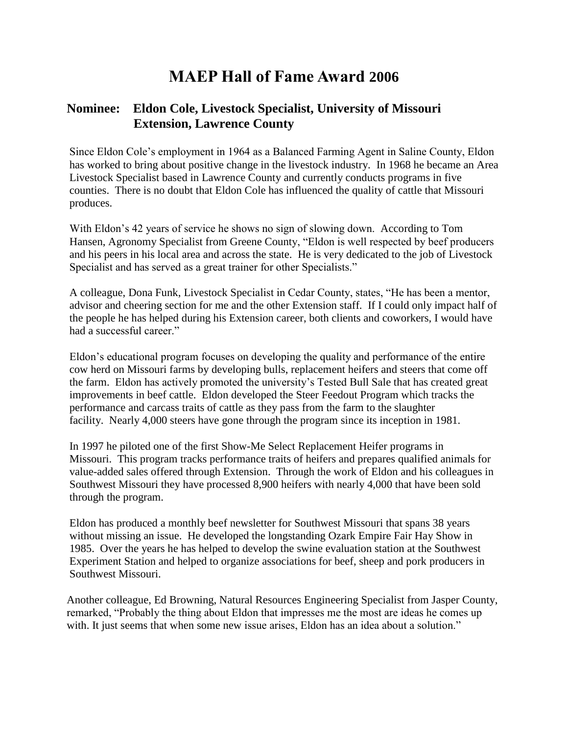## **MAEP Hall of Fame Award 2006**

## **Nominee: Eldon Cole, Livestock Specialist, University of Missouri Extension, Lawrence County**

Since Eldon Cole's employment in 1964 as a Balanced Farming Agent in Saline County, Eldon has worked to bring about positive change in the livestock industry. In 1968 he became an Area Livestock Specialist based in Lawrence County and currently conducts programs in five counties. There is no doubt that Eldon Cole has influenced the quality of cattle that Missouri produces.

With Eldon's 42 years of service he shows no sign of slowing down. According to Tom Hansen, Agronomy Specialist from Greene County, "Eldon is well respected by beef producers and his peers in his local area and across the state. He is very dedicated to the job of Livestock Specialist and has served as a great trainer for other Specialists."

A colleague, Dona Funk, Livestock Specialist in Cedar County, states, "He has been a mentor, advisor and cheering section for me and the other Extension staff. If I could only impact half of the people he has helped during his Extension career, both clients and coworkers, I would have had a successful career."

Eldon's educational program focuses on developing the quality and performance of the entire cow herd on Missouri farms by developing bulls, replacement heifers and steers that come off the farm. Eldon has actively promoted the university's Tested Bull Sale that has created great improvements in beef cattle. Eldon developed the Steer Feedout Program which tracks the performance and carcass traits of cattle as they pass from the farm to the slaughter facility. Nearly 4,000 steers have gone through the program since its inception in 1981.

In 1997 he piloted one of the first Show-Me Select Replacement Heifer programs in Missouri. This program tracks performance traits of heifers and prepares qualified animals for value-added sales offered through Extension. Through the work of Eldon and his colleagues in Southwest Missouri they have processed 8,900 heifers with nearly 4,000 that have been sold through the program.

Eldon has produced a monthly beef newsletter for Southwest Missouri that spans 38 years without missing an issue. He developed the longstanding Ozark Empire Fair Hay Show in 1985. Over the years he has helped to develop the swine evaluation station at the Southwest Experiment Station and helped to organize associations for beef, sheep and pork producers in Southwest Missouri.

Another colleague, Ed Browning, Natural Resources Engineering Specialist from Jasper County, remarked, "Probably the thing about Eldon that impresses me the most are ideas he comes up with. It just seems that when some new issue arises, Eldon has an idea about a solution."